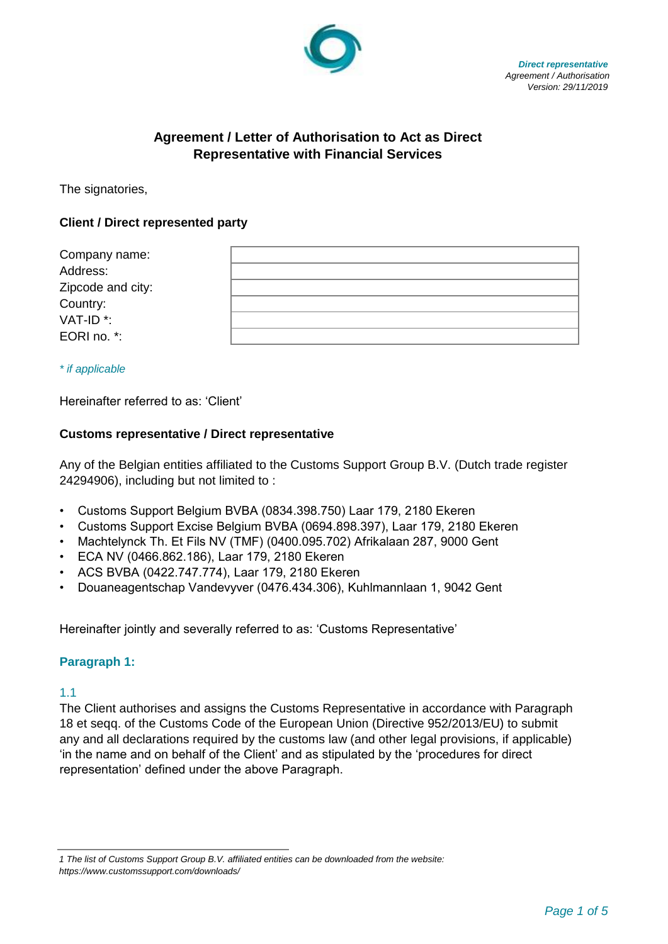

 *Direct representative Agreement / Authorisation Version: 29/11/2019*

# **Agreement / Letter of Authorisation to Act as Direct Representative with Financial Services**

The signatories,

## **Client / Direct represented party**

| Company name:         |  |
|-----------------------|--|
| Address:              |  |
| Zipcode and city:     |  |
| Country:              |  |
| VAT-ID <sup>*</sup> : |  |
| EORI no. *:           |  |

*\* if applicable* 

Hereinafter referred to as: 'Client'

#### **Customs representative / Direct representative**

Any of the Belgian entities affiliated to the Customs Support Group B.V. (Dutch trade register 24294906), including but not limited to :

- Customs Support Belgium BVBA (0834.398.750) Laar 179, 2180 Ekeren
- Customs Support Excise Belgium BVBA (0694.898.397), Laar 179, 2180 Ekeren
- Machtelynck Th. Et Fils NV (TMF) (0400.095.702) Afrikalaan 287, 9000 Gent
- ECA NV (0466.862.186), Laar 179, 2180 Ekeren
- ACS BVBA (0422.747.774), Laar 179, 2180 Ekeren
- Douaneagentschap Vandevyver (0476.434.306), Kuhlmannlaan 1, 9042 Gent

Hereinafter jointly and severally referred to as: 'Customs Representative'

#### **Paragraph 1:**

1.1

The Client authorises and assigns the Customs Representative in accordance with Paragraph 18 et seqq. of the Customs Code of the European Union (Directive 952/2013/EU) to submit any and all declarations required by the customs law (and other legal provisions, if applicable) 'in the name and on behalf of the Client' and as stipulated by the 'procedures for direct representation' defined under the above Paragraph.

*<sup>1</sup> The list of Customs Support Group B.V. affiliated entities can be downloaded from the website: https://www.customssupport.com/downloads/*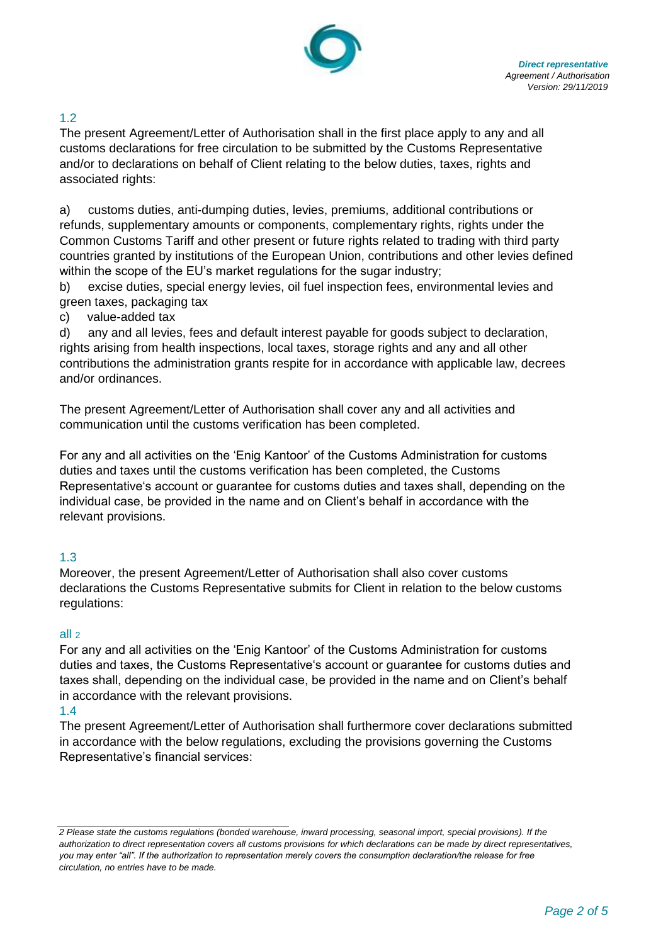

# 1.2

The present Agreement/Letter of Authorisation shall in the first place apply to any and all customs declarations for free circulation to be submitted by the Customs Representative and/or to declarations on behalf of Client relating to the below duties, taxes, rights and associated rights:

a) customs duties, anti-dumping duties, levies, premiums, additional contributions or refunds, supplementary amounts or components, complementary rights, rights under the Common Customs Tariff and other present or future rights related to trading with third party countries granted by institutions of the European Union, contributions and other levies defined within the scope of the EU's market regulations for the sugar industry;

b) excise duties, special energy levies, oil fuel inspection fees, environmental levies and green taxes, packaging tax

c) value-added tax

d) any and all levies, fees and default interest payable for goods subject to declaration, rights arising from health inspections, local taxes, storage rights and any and all other contributions the administration grants respite for in accordance with applicable law, decrees and/or ordinances.

The present Agreement/Letter of Authorisation shall cover any and all activities and communication until the customs verification has been completed.

For any and all activities on the 'Enig Kantoor' of the Customs Administration for customs duties and taxes until the customs verification has been completed, the Customs Representative's account or guarantee for customs duties and taxes shall, depending on the individual case, be provided in the name and on Client's behalf in accordance with the relevant provisions.

# 1.3

Moreover, the present Agreement/Letter of Authorisation shall also cover customs declarations the Customs Representative submits for Client in relation to the below customs regulations:

#### all 2

For any and all activities on the 'Enig Kantoor' of the Customs Administration for customs duties and taxes, the Customs Representative's account or guarantee for customs duties and taxes shall, depending on the individual case, be provided in the name and on Client's behalf in accordance with the relevant provisions.

#### 1.4

The present Agreement/Letter of Authorisation shall furthermore cover declarations submitted in accordance with the below regulations, excluding the provisions governing the Customs Representative's financial services:

*<sup>2</sup> Please state the customs regulations (bonded warehouse, inward processing, seasonal import, special provisions). If the authorization to direct representation covers all customs provisions for which declarations can be made by direct representatives, you may enter "all". If the authorization to representation merely covers the consumption declaration/the release for free circulation, no entries have to be made.*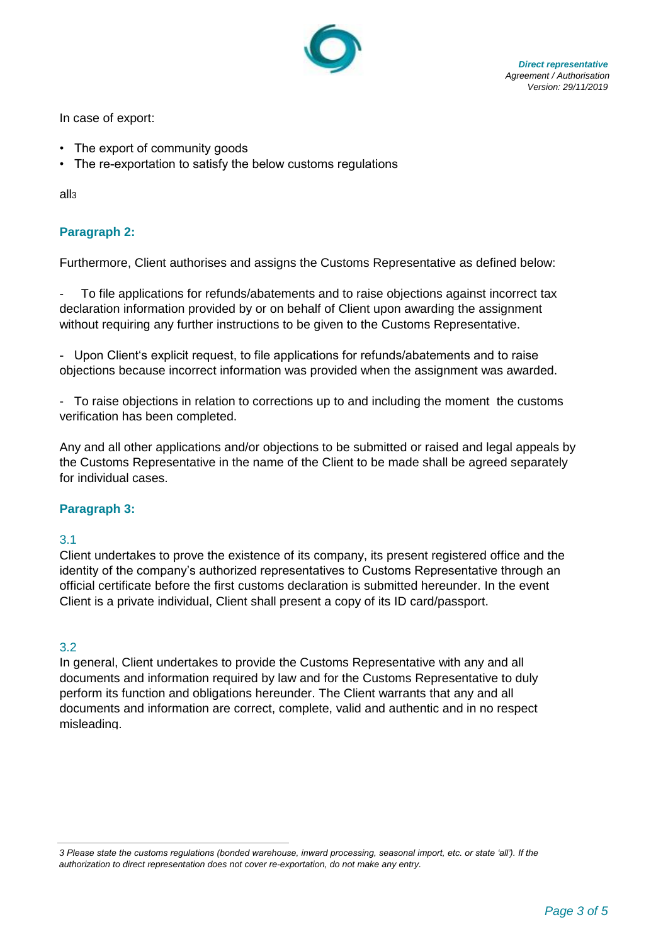

 *Direct representative Agreement / Authorisation Version: 29/11/2019*

In case of export:

- The export of community goods
- The re-exportation to satisfy the below customs regulations

all3

# **Paragraph 2:**

Furthermore, Client authorises and assigns the Customs Representative as defined below:

To file applications for refunds/abatements and to raise objections against incorrect tax declaration information provided by or on behalf of Client upon awarding the assignment without requiring any further instructions to be given to the Customs Representative.

- Upon Client's explicit request, to file applications for refunds/abatements and to raise objections because incorrect information was provided when the assignment was awarded.

- To raise objections in relation to corrections up to and including the moment the customs verification has been completed.

Any and all other applications and/or objections to be submitted or raised and legal appeals by the Customs Representative in the name of the Client to be made shall be agreed separately for individual cases.

# **Paragraph 3:**

#### 3.1

Client undertakes to prove the existence of its company, its present registered office and the identity of the company's authorized representatives to Customs Representative through an official certificate before the first customs declaration is submitted hereunder. In the event Client is a private individual, Client shall present a copy of its ID card/passport.

#### 3.2

In general, Client undertakes to provide the Customs Representative with any and all documents and information required by law and for the Customs Representative to duly perform its function and obligations hereunder. The Client warrants that any and all documents and information are correct, complete, valid and authentic and in no respect misleading.

*<sup>3</sup> Please state the customs regulations (bonded warehouse, inward processing, seasonal import, etc. or state 'all'). If the authorization to direct representation does not cover re-exportation, do not make any entry.*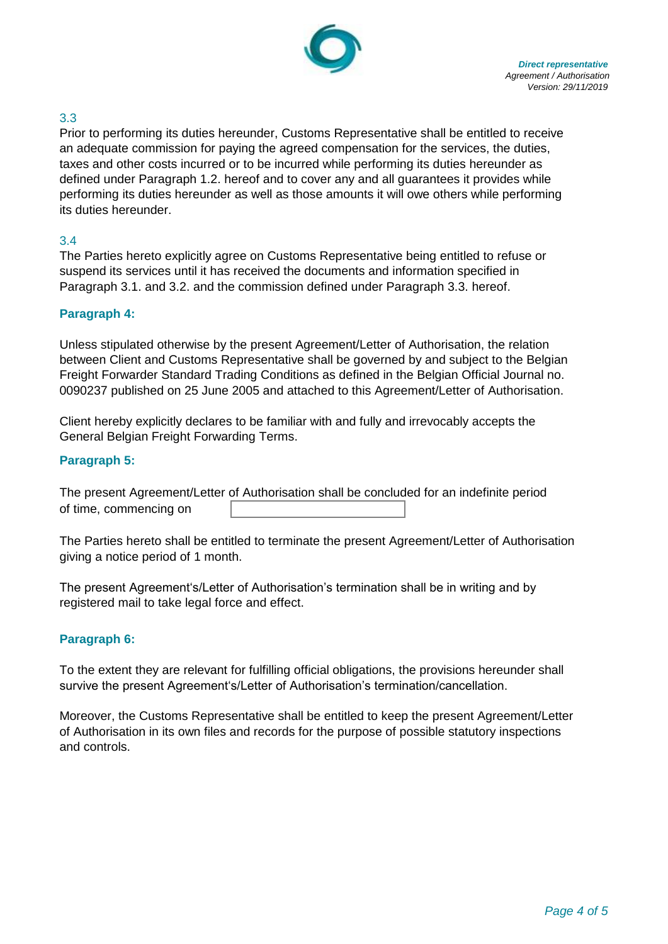

# 3.3

Prior to performing its duties hereunder, Customs Representative shall be entitled to receive an adequate commission for paying the agreed compensation for the services, the duties, taxes and other costs incurred or to be incurred while performing its duties hereunder as defined under Paragraph 1.2. hereof and to cover any and all guarantees it provides while performing its duties hereunder as well as those amounts it will owe others while performing its duties hereunder.

#### 3.4

The Parties hereto explicitly agree on Customs Representative being entitled to refuse or suspend its services until it has received the documents and information specified in Paragraph 3.1. and 3.2. and the commission defined under Paragraph 3.3. hereof.

## **Paragraph 4:**

Unless stipulated otherwise by the present Agreement/Letter of Authorisation, the relation between Client and Customs Representative shall be governed by and subject to the Belgian Freight Forwarder Standard Trading Conditions as defined in the Belgian Official Journal no. 0090237 published on 25 June 2005 and attached to this Agreement/Letter of Authorisation.

Client hereby explicitly declares to be familiar with and fully and irrevocably accepts the General Belgian Freight Forwarding Terms.

## **Paragraph 5:**

The present Agreement/Letter of Authorisation shall be concluded for an indefinite period of time, commencing on

The Parties hereto shall be entitled to terminate the present Agreement/Letter of Authorisation giving a notice period of 1 month.

The present Agreement's/Letter of Authorisation's termination shall be in writing and by registered mail to take legal force and effect.

#### **Paragraph 6:**

To the extent they are relevant for fulfilling official obligations, the provisions hereunder shall survive the present Agreement's/Letter of Authorisation's termination/cancellation.

Moreover, the Customs Representative shall be entitled to keep the present Agreement/Letter of Authorisation in its own files and records for the purpose of possible statutory inspections and controls.